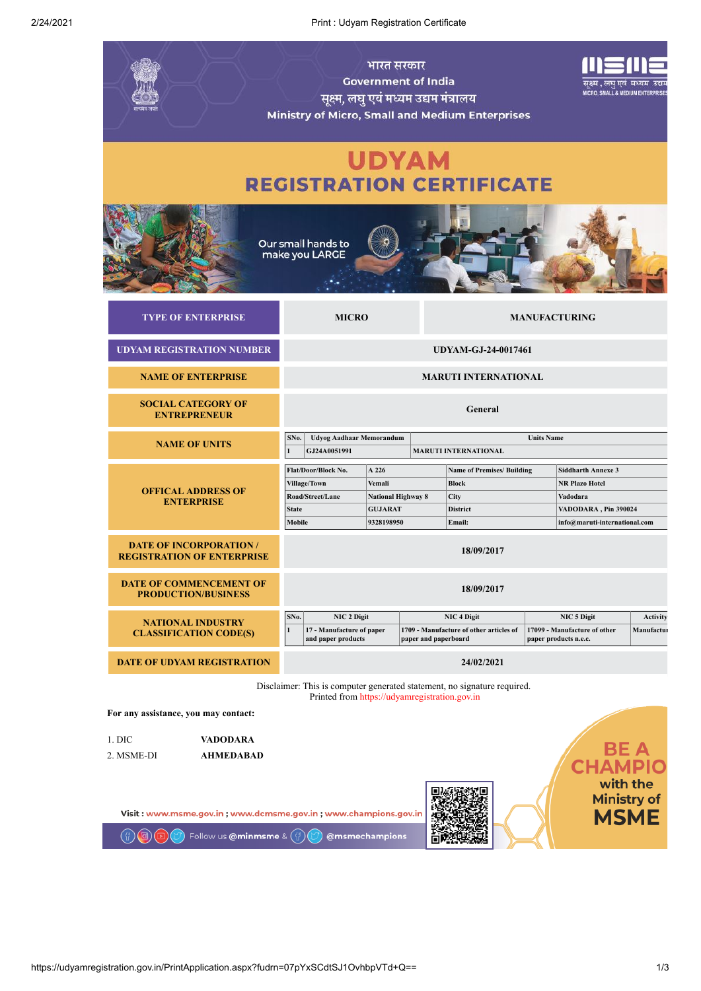2/24/2021 Print : Udyam Registration Certificate

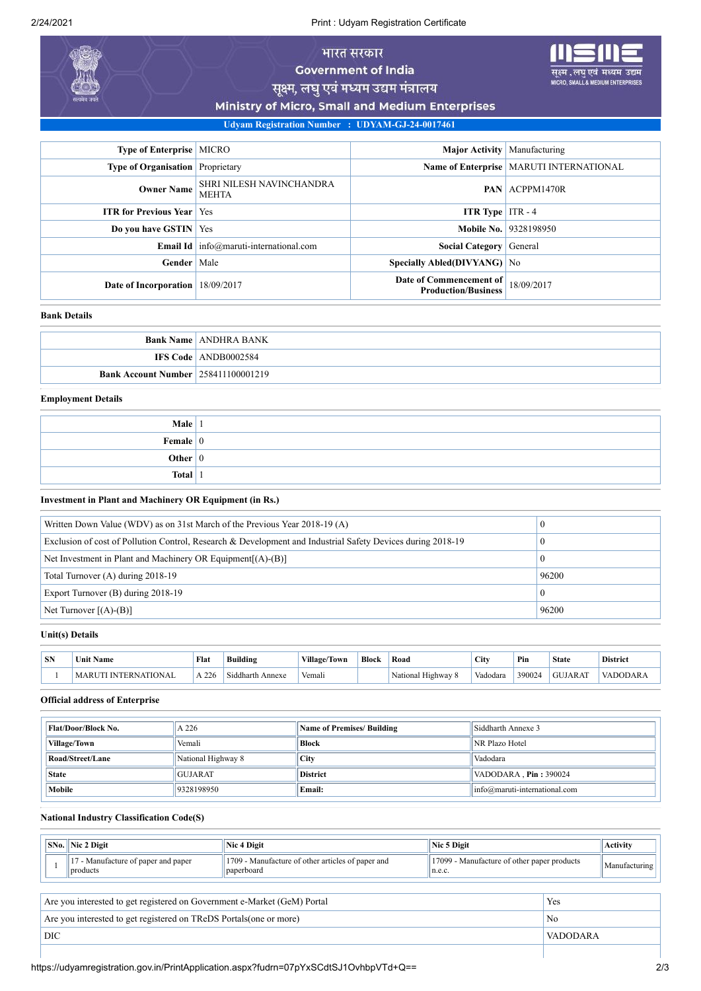2/24/2021 Print : Udyam Registration Certificate

# भारत सरकार **Government of India**

यम उद्यम **JIUM ENTER** 

सूक्ष्म, लघु एवं मध्यम उद्यम मंत्रालय

Ministry of Micro, Small and Medium Enterprises

**Udyam Registration Number : UDYAM-GJ-24-0017461**

| Type of Enterprise   MICRO              |                                                   | <b>Major Activity</b> Manufacturing                   |                                           |
|-----------------------------------------|---------------------------------------------------|-------------------------------------------------------|-------------------------------------------|
| <b>Type of Organisation</b> Proprietary |                                                   |                                                       | Name of Enterprise   MARUTI INTERNATIONAL |
| <b>Owner Name</b>                       | SHRI NILESH NAVINCHANDRA<br><b>MEHTA</b>          |                                                       | <b>PAN</b> ACPPM1470R                     |
| <b>ITR for Previous Year   Yes</b>      |                                                   | <b>ITR Type</b> ITR $-4$                              |                                           |
| Do you have GSTIN   Yes                 |                                                   |                                                       | <b>Mobile No.   9328198950</b>            |
|                                         | <b>Email Id</b> $ $ info@maruti-international.com | Social Category General                               |                                           |
| Gender                                  | Male                                              | Specially Abled(DIVYANG) No                           |                                           |
| Date of Incorporation                   | 18/09/2017                                        | Date of Commencement of<br><b>Production/Business</b> | 18/09/2017                                |

## **Bank Details**

|                                            | <b>Bank Name   ANDHRA BANK</b> |
|--------------------------------------------|--------------------------------|
|                                            | <b>IFS Code</b> ANDB0002584    |
| <b>Bank Account Number 258411100001219</b> |                                |

#### **Employment Details**

| Male $ 1$              |  |
|------------------------|--|
| Female $\vert 0 \vert$ |  |
| Other $ 0 $            |  |
| <b>Total</b>           |  |

### **Investment in Plant and Machinery OR Equipment (in Rs.)**

| Written Down Value (WDV) as on 31st March of the Previous Year 2018-19 (A)                                  | 0        |
|-------------------------------------------------------------------------------------------------------------|----------|
| Exclusion of cost of Pollution Control, Research & Development and Industrial Safety Devices during 2018-19 |          |
| Net Investment in Plant and Machinery OR Equipment $[(A)$ - $(B)]$                                          | 0        |
| Total Turnover (A) during 2018-19                                                                           | 96200    |
| Export Turnover (B) during 2018-19                                                                          | $\theta$ |
| Net Turnover $[(A)-B]$                                                                                      | 96200    |

#### **Unit(s) Details**

| <b>SN</b> | -<br>Name<br>Unn       | Flat    | <br>Building                            | <b>Village</b><br>$\sim$<br>'Towr | Block | Road             | City     | Pin   | <b>State</b> | <b>District</b> |
|-----------|------------------------|---------|-----------------------------------------|-----------------------------------|-------|------------------|----------|-------|--------------|-----------------|
|           | <b>TION</b><br>D<br>ים | $A$ 226 | .<br>$\sim$<br>siddha<br>Annexe<br>۱rth | $ -$<br>. .<br>Vemali             |       | National Highway | Vadodara | 39002 | GUJ<br>JARAT | DODAR           |

#### **Official address of Enterprise**

| <b>Flat/Door/Block No.</b>             | A 226 | <b>Name of Premises/ Building</b> | Siddharth Annexe 3                |  |
|----------------------------------------|-------|-----------------------------------|-----------------------------------|--|
| <b>Village/Town</b><br>Vemali          |       | Block                             | NR Plazo Hotel                    |  |
| Road/Street/Lane<br>National Highway 8 |       | <b>City</b>                       | Vadodara                          |  |
| <b>GUJARAT</b><br><b>State</b>         |       | <b>District</b>                   | VADODARA, Pin: 390024             |  |
| Mobile<br>9328198950<br><b>Email:</b>  |       |                                   | $ info@$ maruti-international.com |  |

#### **National Industry Classification Code(S)**

|                                                                                 | $\vert$ SNo. $\vert$ Nic 2 Digit                | Nic 4 Digit                                                                 | Nic 5 Digit                                           |  | <b>Activity</b> |
|---------------------------------------------------------------------------------|-------------------------------------------------|-----------------------------------------------------------------------------|-------------------------------------------------------|--|-----------------|
|                                                                                 | 17 - Manufacture of paper and paper<br>products | $\parallel$ 1709 - Manufacture of other articles of paper and<br>paperboard | 17099 - Manufacture of other paper products<br>n.e.c. |  | Manufacturing   |
| Are you interested to get registered on Government e-Market (GeM) Portal<br>Yes |                                                 |                                                                             |                                                       |  |                 |

Are you interested to get registered on TReDS Portals(one or more) No DIC VADODARA